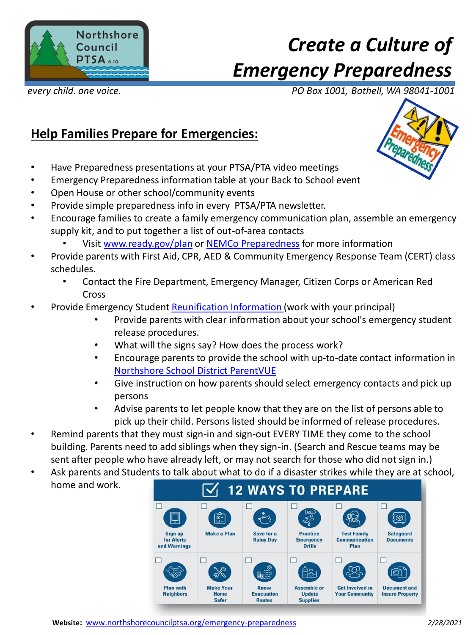

# *Create a Culture of Emergency Preparedness*

*every child. one voice. PO Box 1001, Bothell, WA 98041-1001*

### **Help Families Prepare for Emergencies:**

- Have Preparedness presentations at your PTSA/PTA video meetings
- Emergency Preparedness information table at your Back to School event
- Open House or other school/community events
- Provide simple preparedness info in every PTSA/PTA newsletter.
- Encourage families to create a family emergency communication plan, assemble an emergency supply kit, and to put together a list of out-of-area contacts
	- Visit [www.ready.gov/plan](http://www.ready.gov/plan) or NEMCo [Preparedness](https://www.northshoreemc.com/preparedness) for more information
- Provide parents with First Aid, CPR, AED & Community Emergency Response Team (CERT) class schedules.
	- Contact the Fire Department, Emergency Manager, Citizen Corps or American Red Cross
- Provide Emergency Student [Reunification Information \(](https://www.nsd.org/our-district/who-we-are/safety-security/reunification-process)work with your principal)
	- Provide parents with clear information about your school's emergency student release procedures.
	- What will the signs say? How does the process work?
	- Encourage parents to provide the school with up-to-date contact information in [Northshore School District ParentVUE](https://www.nsd.org/resources/online-tools/parentvue)
	- Give instruction on how parents should select emergency contacts and pick up persons
	- Advise parents to let people know that they are on the list of persons able to pick up their child. Persons listed should be informed of release procedures.
- Remind parents that they must sign-in and sign-out EVERY TIME they come to the school building. Parents need to add siblings when they sign-in. (Search and Rescue teams may be sent after people who have already left, or may not search for those who did not sign in.)
- Ask parents and Stude[nts to talk about what to do if a disaster strikes while they are at s](https://www.fema.gov/media-library-data/1530826217620-10775bfcb5d7600be8e6b88308b24d8c/P1094_CreateYourFamilyEmergencyCommunicationPlan_070318.pdf)chool, home and work.